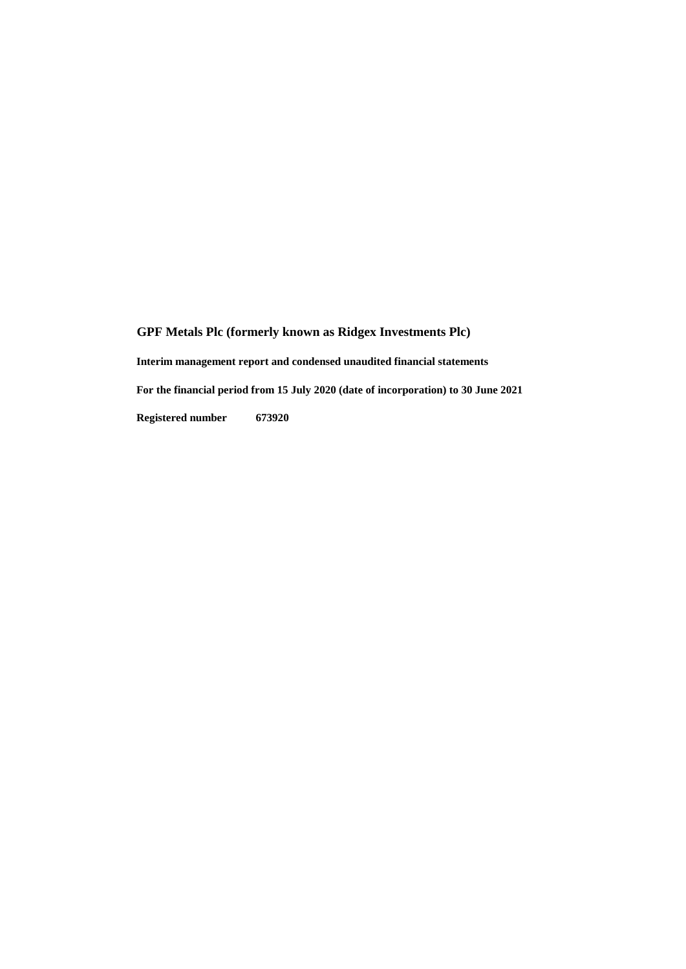**Interim management report and condensed unaudited financial statements**

**For the financial period from 15 July 2020 (date of incorporation) to 30 June 2021**

**Registered number 673920**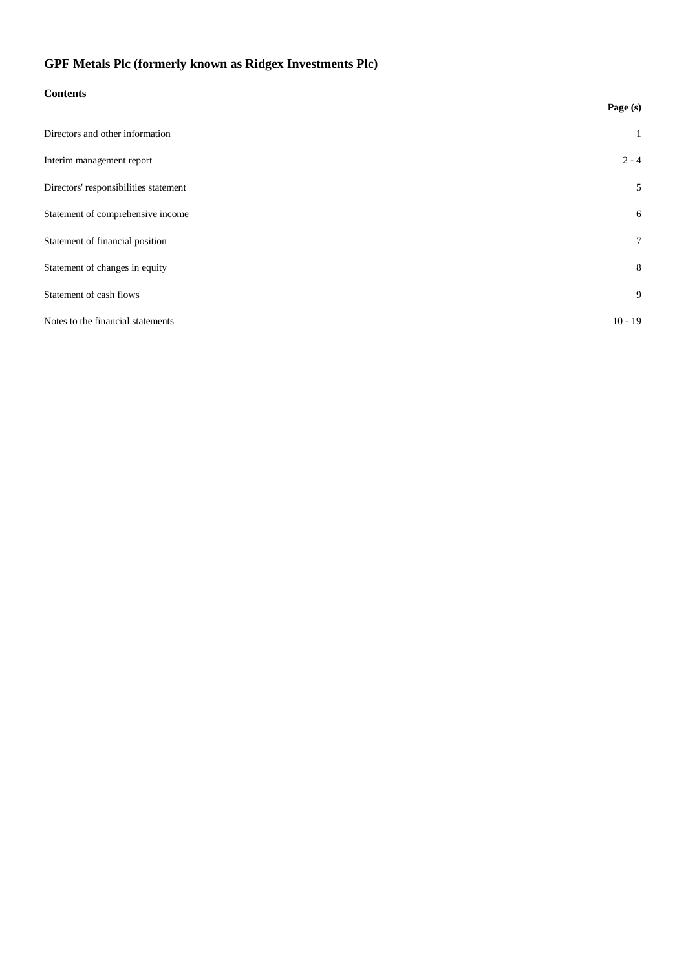## **Contents**

|                                       | Page (s)        |
|---------------------------------------|-----------------|
| Directors and other information       | 1               |
| Interim management report             | $2 - 4$         |
| Directors' responsibilities statement | 5               |
| Statement of comprehensive income     | 6               |
| Statement of financial position       | $7\overline{ }$ |
| Statement of changes in equity        | 8               |
| Statement of cash flows               | 9               |
| Notes to the financial statements     | $10 - 19$       |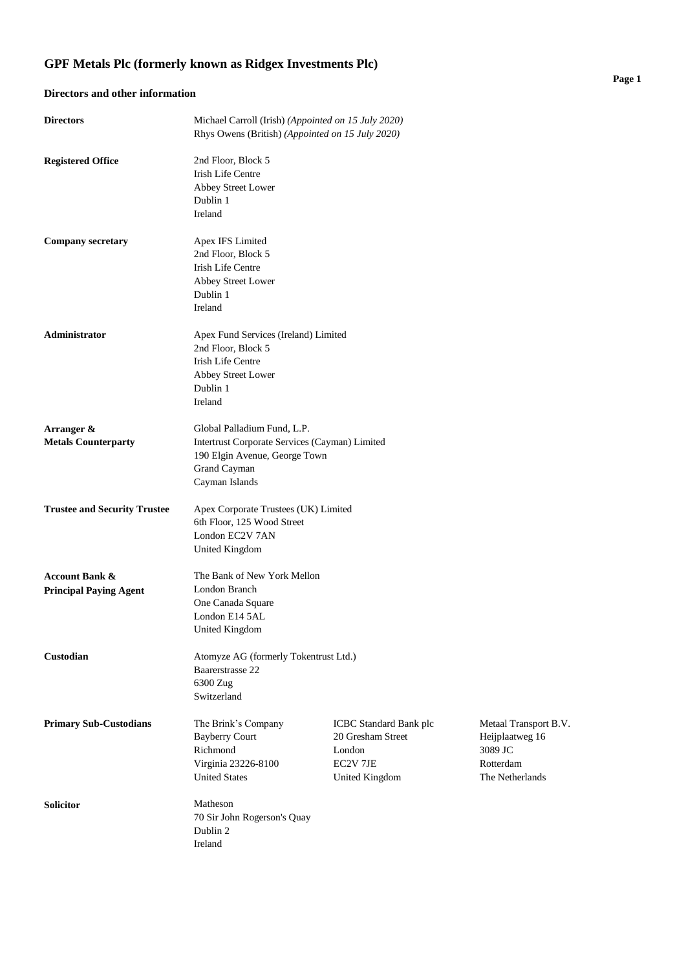## **Directors and other information**

| <b>Directors</b>                                           | Michael Carroll (Irish) (Appointed on 15 July 2020)<br>Rhys Owens (British) (Appointed on 15 July 2020)                                          |                                                                                            |                                                                                     |
|------------------------------------------------------------|--------------------------------------------------------------------------------------------------------------------------------------------------|--------------------------------------------------------------------------------------------|-------------------------------------------------------------------------------------|
| <b>Registered Office</b>                                   | 2nd Floor, Block 5<br><b>Irish Life Centre</b><br>Abbey Street Lower<br>Dublin 1<br>Ireland                                                      |                                                                                            |                                                                                     |
| <b>Company secretary</b>                                   | Apex IFS Limited<br>2nd Floor, Block 5<br><b>Irish Life Centre</b><br>Abbey Street Lower<br>Dublin 1<br>Ireland                                  |                                                                                            |                                                                                     |
| Administrator                                              | Apex Fund Services (Ireland) Limited<br>2nd Floor, Block 5<br><b>Irish Life Centre</b><br>Abbey Street Lower<br>Dublin 1<br>Ireland              |                                                                                            |                                                                                     |
| Arranger &<br><b>Metals Counterparty</b>                   | Global Palladium Fund, L.P.<br>Intertrust Corporate Services (Cayman) Limited<br>190 Elgin Avenue, George Town<br>Grand Cayman<br>Cayman Islands |                                                                                            |                                                                                     |
| <b>Trustee and Security Trustee</b>                        | Apex Corporate Trustees (UK) Limited<br>6th Floor, 125 Wood Street<br>London EC2V 7AN<br><b>United Kingdom</b>                                   |                                                                                            |                                                                                     |
| <b>Account Bank &amp;</b><br><b>Principal Paying Agent</b> | The Bank of New York Mellon<br>London Branch<br>One Canada Square<br>London E14 5AL<br><b>United Kingdom</b>                                     |                                                                                            |                                                                                     |
| Custodian                                                  | Atomyze AG (formerly Tokentrust Ltd.)<br>Baarerstrasse 22<br>6300 Zug<br>Switzerland                                                             |                                                                                            |                                                                                     |
| <b>Primary Sub-Custodians</b>                              | The Brink's Company<br><b>Bayberry Court</b><br>Richmond<br>Virginia 23226-8100<br><b>United States</b>                                          | ICBC Standard Bank plc<br>20 Gresham Street<br>London<br>EC2V 7JE<br><b>United Kingdom</b> | Metaal Transport B.V.<br>Heijplaatweg 16<br>3089 JC<br>Rotterdam<br>The Netherlands |
| <b>Solicitor</b>                                           | Matheson<br>70 Sir John Rogerson's Quay<br>Dublin 2<br>Ireland                                                                                   |                                                                                            |                                                                                     |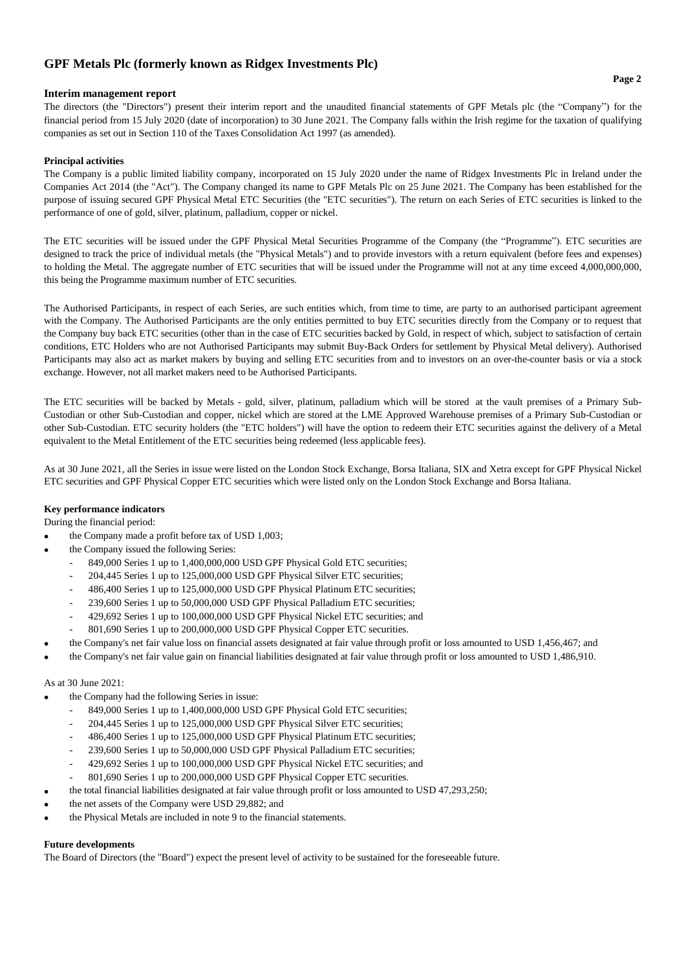## **Interim management report**

The directors (the "Directors") present their interim report and the unaudited financial statements of GPF Metals plc (the "Company") for the financial period from 15 July 2020 (date of incorporation) to 30 June 2021. The Company falls within the Irish regime for the taxation of qualifying companies as set out in Section 110 of the Taxes Consolidation Act 1997 (as amended).

## **Principal activities**

The Company is a public limited liability company, incorporated on 15 July 2020 under the name of Ridgex Investments Plc in Ireland under the Companies Act 2014 (the "Act"). The Company changed its name to GPF Metals Plc on 25 June 2021. The Company has been established for the purpose of issuing secured GPF Physical Metal ETC Securities (the "ETC securities"). The return on each Series of ETC securities is linked to the performance of one of gold, silver, platinum, palladium, copper or nickel.

The ETC securities will be issued under the GPF Physical Metal Securities Programme of the Company (the "Programme"). ETC securities are designed to track the price of individual metals (the "Physical Metals") and to provide investors with a return equivalent (before fees and expenses) to holding the Metal. The aggregate number of ETC securities that will be issued under the Programme will not at any time exceed 4,000,000,000, this being the Programme maximum number of ETC securities.

The Authorised Participants, in respect of each Series, are such entities which, from time to time, are party to an authorised participant agreement with the Company. The Authorised Participants are the only entities permitted to buy ETC securities directly from the Company or to request that the Company buy back ETC securities (other than in the case of ETC securities backed by Gold, in respect of which, subject to satisfaction of certain conditions, ETC Holders who are not Authorised Participants may submit Buy-Back Orders for settlement by Physical Metal delivery). Authorised Participants may also act as market makers by buying and selling ETC securities from and to investors on an over-the-counter basis or via a stock exchange. However, not all market makers need to be Authorised Participants.

The ETC securities will be backed by Metals - gold, silver, platinum, palladium which will be stored at the vault premises of a Primary Sub-Custodian or other Sub-Custodian and copper, nickel which are stored at the LME Approved Warehouse premises of a Primary Sub-Custodian or other Sub-Custodian. ETC security holders (the "ETC holders") will have the option to redeem their ETC securities against the delivery of a Metal equivalent to the Metal Entitlement of the ETC securities being redeemed (less applicable fees).

As at 30 June 2021, all the Series in issue were listed on the London Stock Exchange, Borsa Italiana, SIX and Xetra except for GPF Physical Nickel ETC securities and GPF Physical Copper ETC securities which were listed only on the London Stock Exchange and Borsa Italiana.

## **Key performance indicators**

During the financial period:

- the Company made a profit before tax of USD 1,003;
	- the Company issued the following Series:
		- 849,000 Series 1 up to 1,400,000,000 USD GPF Physical Gold ETC securities;
		- 204,445 Series 1 up to 125,000,000 USD GPF Physical Silver ETC securities;
		- 486,400 Series 1 up to 125,000,000 USD GPF Physical Platinum ETC securities;
		- 239,600 Series 1 up to 50,000,000 USD GPF Physical Palladium ETC securities;
		- 429,692 Series 1 up to 100,000,000 USD GPF Physical Nickel ETC securities; and
		- 801,690 Series 1 up to 200,000,000 USD GPF Physical Copper ETC securities.
	- the Company's net fair value loss on financial assets designated at fair value through profit or loss amounted to USD 1,456,467; and
- the Company's net fair value gain on financial liabilities designated at fair value through profit or loss amounted to USD 1,486,910.

## As at 30 June 2021:

•

- the Company had the following Series in issue:
	- 849,000 Series 1 up to 1,400,000,000 USD GPF Physical Gold ETC securities;
	- 204,445 Series 1 up to 125,000,000 USD GPF Physical Silver ETC securities;
	- 486,400 Series 1 up to 125,000,000 USD GPF Physical Platinum ETC securities;
	- 239,600 Series 1 up to 50,000,000 USD GPF Physical Palladium ETC securities;
	- 429,692 Series 1 up to 100,000,000 USD GPF Physical Nickel ETC securities; and
	- 801,690 Series 1 up to 200,000,000 USD GPF Physical Copper ETC securities.
- the total financial liabilities designated at fair value through profit or loss amounted to USD 47,293,250;
- the net assets of the Company were USD 29,882; and
- the Physical Metals are included in note 9 to the financial statements.

## **Future developments**

The Board of Directors (the "Board") expect the present level of activity to be sustained for the foreseeable future.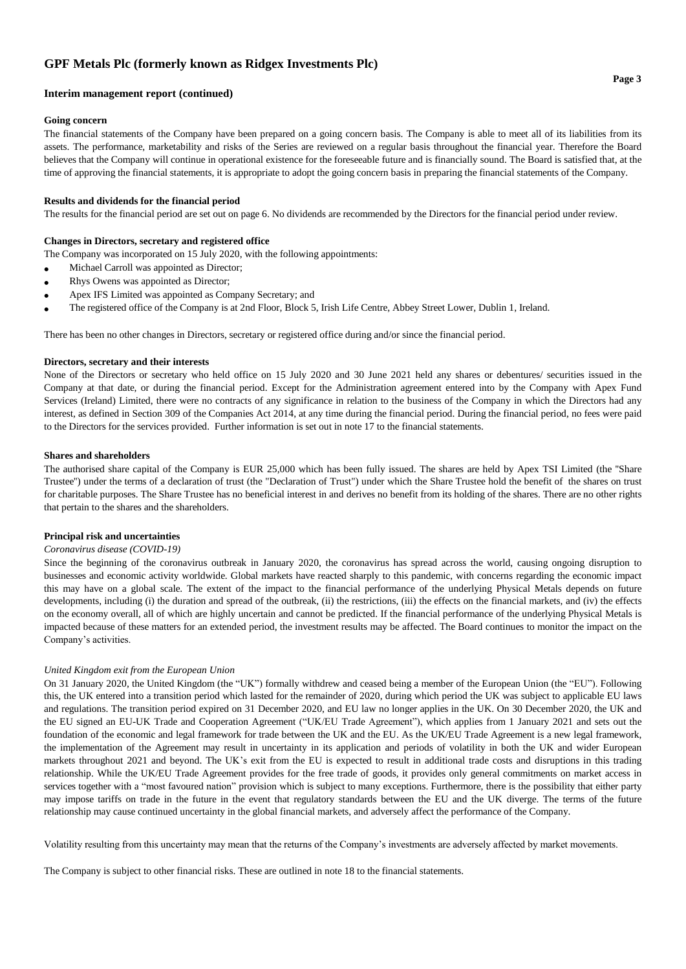## **Interim management report (continued)**

## **Going concern**

The financial statements of the Company have been prepared on a going concern basis. The Company is able to meet all of its liabilities from its assets. The performance, marketability and risks of the Series are reviewed on a regular basis throughout the financial year. Therefore the Board believes that the Company will continue in operational existence for the foreseeable future and is financially sound. The Board is satisfied that, at the time of approving the financial statements, it is appropriate to adopt the going concern basis in preparing the financial statements of the Company.

## **Results and dividends for the financial period**

The results for the financial period are set out on page 6. No dividends are recommended by the Directors for the financial period under review.

## **Changes in Directors, secretary and registered office**

The Company was incorporated on 15 July 2020, with the following appointments:

- Michael Carroll was appointed as Director;
- Rhys Owens was appointed as Director;
- Apex IFS Limited was appointed as Company Secretary; and
- The registered office of the Company is at 2nd Floor, Block 5, Irish Life Centre, Abbey Street Lower, Dublin 1, Ireland.

There has been no other changes in Directors, secretary or registered office during and/or since the financial period.

## **Directors, secretary and their interests**

None of the Directors or secretary who held office on 15 July 2020 and 30 June 2021 held any shares or debentures/ securities issued in the Company at that date, or during the financial period. Except for the Administration agreement entered into by the Company with Apex Fund Services (Ireland) Limited, there were no contracts of any significance in relation to the business of the Company in which the Directors had any interest, as defined in Section 309 of the Companies Act 2014, at any time during the financial period. During the financial period, no fees were paid to the Directors for the services provided. Further information is set out in note 17 to the financial statements.

## **Shares and shareholders**

The authorised share capital of the Company is EUR 25,000 which has been fully issued. The shares are held by Apex TSI Limited (the ''Share Trustee'') under the terms of a declaration of trust (the "Declaration of Trust") under which the Share Trustee hold the benefit of the shares on trust for charitable purposes. The Share Trustee has no beneficial interest in and derives no benefit from its holding of the shares. There are no other rights that pertain to the shares and the shareholders.

## **Principal risk and uncertainties**

## *Coronavirus disease (COVID-19)*

Since the beginning of the coronavirus outbreak in January 2020, the coronavirus has spread across the world, causing ongoing disruption to businesses and economic activity worldwide. Global markets have reacted sharply to this pandemic, with concerns regarding the economic impact this may have on a global scale. The extent of the impact to the financial performance of the underlying Physical Metals depends on future developments, including (i) the duration and spread of the outbreak, (ii) the restrictions, (iii) the effects on the financial markets, and (iv) the effects on the economy overall, all of which are highly uncertain and cannot be predicted. If the financial performance of the underlying Physical Metals is impacted because of these matters for an extended period, the investment results may be affected. The Board continues to monitor the impact on the Company's activities.

## *United Kingdom exit from the European Union*

On 31 January 2020, the United Kingdom (the "UK") formally withdrew and ceased being a member of the European Union (the "EU"). Following this, the UK entered into a transition period which lasted for the remainder of 2020, during which period the UK was subject to applicable EU laws and regulations. The transition period expired on 31 December 2020, and EU law no longer applies in the UK. On 30 December 2020, the UK and the EU signed an EU-UK Trade and Cooperation Agreement ("UK/EU Trade Agreement"), which applies from 1 January 2021 and sets out the foundation of the economic and legal framework for trade between the UK and the EU. As the UK/EU Trade Agreement is a new legal framework, the implementation of the Agreement may result in uncertainty in its application and periods of volatility in both the UK and wider European markets throughout 2021 and beyond. The UK's exit from the EU is expected to result in additional trade costs and disruptions in this trading relationship. While the UK/EU Trade Agreement provides for the free trade of goods, it provides only general commitments on market access in services together with a "most favoured nation" provision which is subject to many exceptions. Furthermore, there is the possibility that either party may impose tariffs on trade in the future in the event that regulatory standards between the EU and the UK diverge. The terms of the future relationship may cause continued uncertainty in the global financial markets, and adversely affect the performance of the Company.

Volatility resulting from this uncertainty may mean that the returns of the Company's investments are adversely affected by market movements.

The Company is subject to other financial risks. These are outlined in note 18 to the financial statements.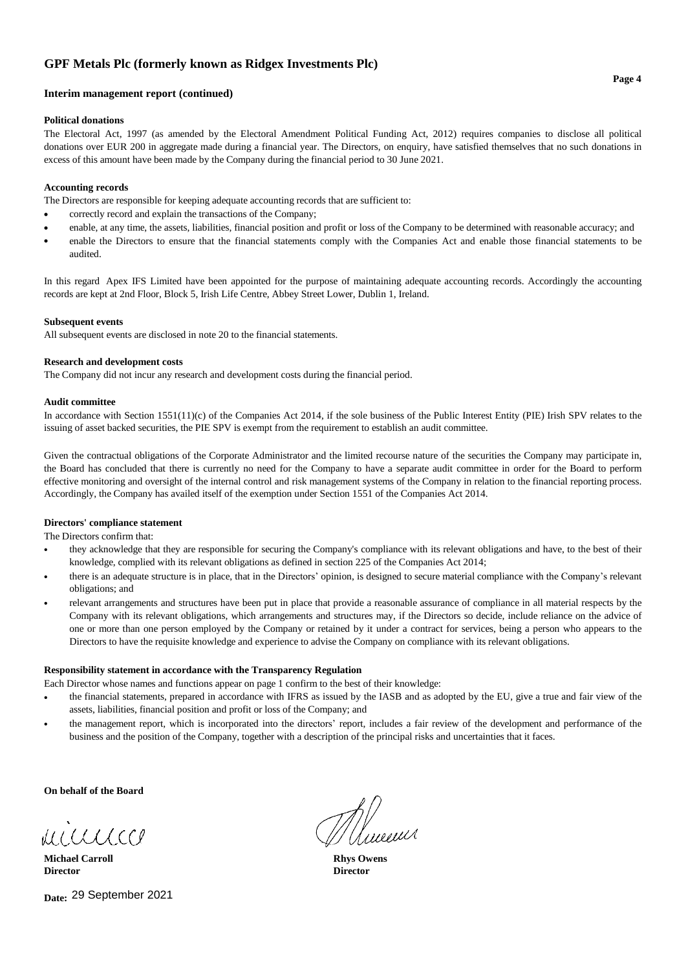## **Interim management report (continued)**

## **Political donations**

The Electoral Act, 1997 (as amended by the Electoral Amendment Political Funding Act, 2012) requires companies to disclose all political donations over EUR 200 in aggregate made during a financial year. The Directors, on enquiry, have satisfied themselves that no such donations in excess of this amount have been made by the Company during the financial period to 30 June 2021.

## **Accounting records**

The Directors are responsible for keeping adequate accounting records that are sufficient to:

- correctly record and explain the transactions of the Company;
- enable, at any time, the assets, liabilities, financial position and profit or loss of the Company to be determined with reasonable accuracy; and
- enable the Directors to ensure that the financial statements comply with the Companies Act and enable those financial statements to be audited.

In this regard Apex IFS Limited have been appointed for the purpose of maintaining adequate accounting records. Accordingly the accounting records are kept at 2nd Floor, Block 5, Irish Life Centre, Abbey Street Lower, Dublin 1, Ireland.

## **Subsequent events**

All subsequent events are disclosed in note 20 to the financial statements.

#### **Research and development costs**

The Company did not incur any research and development costs during the financial period.

#### **Audit committee**

In accordance with Section 1551(11)(c) of the Companies Act 2014, if the sole business of the Public Interest Entity (PIE) Irish SPV relates to the issuing of asset backed securities, the PIE SPV is exempt from the requirement to establish an audit committee.

Given the contractual obligations of the Corporate Administrator and the limited recourse nature of the securities the Company may participate in, the Board has concluded that there is currently no need for the Company to have a separate audit committee in order for the Board to perform effective monitoring and oversight of the internal control and risk management systems of the Company in relation to the financial reporting process. Accordingly, the Company has availed itself of the exemption under Section 1551 of the Companies Act 2014.

## **Directors' compliance statement**

The Directors confirm that:

- **•** they acknowledge that they are responsible for securing the Company's compliance with its relevant obligations and have, to the best of their knowledge, complied with its relevant obligations as defined in section 225 of the Companies Act 2014;
- **•** there is an adequate structure is in place, that in the Directors' opinion, is designed to secure material compliance with the Company's relevant obligations; and
- **•** relevant arrangements and structures have been put in place that provide a reasonable assurance of compliance in all material respects by the Company with its relevant obligations, which arrangements and structures may, if the Directors so decide, include reliance on the advice of one or more than one person employed by the Company or retained by it under a contract for services, being a person who appears to the Directors to have the requisite knowledge and experience to advise the Company on compliance with its relevant obligations.

## **Responsibility statement in accordance with the Transparency Regulation**

Each Director whose names and functions appear on page 1 confirm to the best of their knowledge:

- **•** the financial statements, prepared in accordance with IFRS as issued by the IASB and as adopted by the EU, give a true and fair view of the assets, liabilities, financial position and profit or loss of the Company; and
- **•** the management report, which is incorporated into the directors' report, includes a fair review of the development and performance of the business and the position of the Company, together with a description of the principal risks and uncertainties that it faces.

**On behalf of the Board**

MICCLLCCC

**Michael Carroll Rhys Owens Director Director**

**Date:**  29 September 2021

Whileew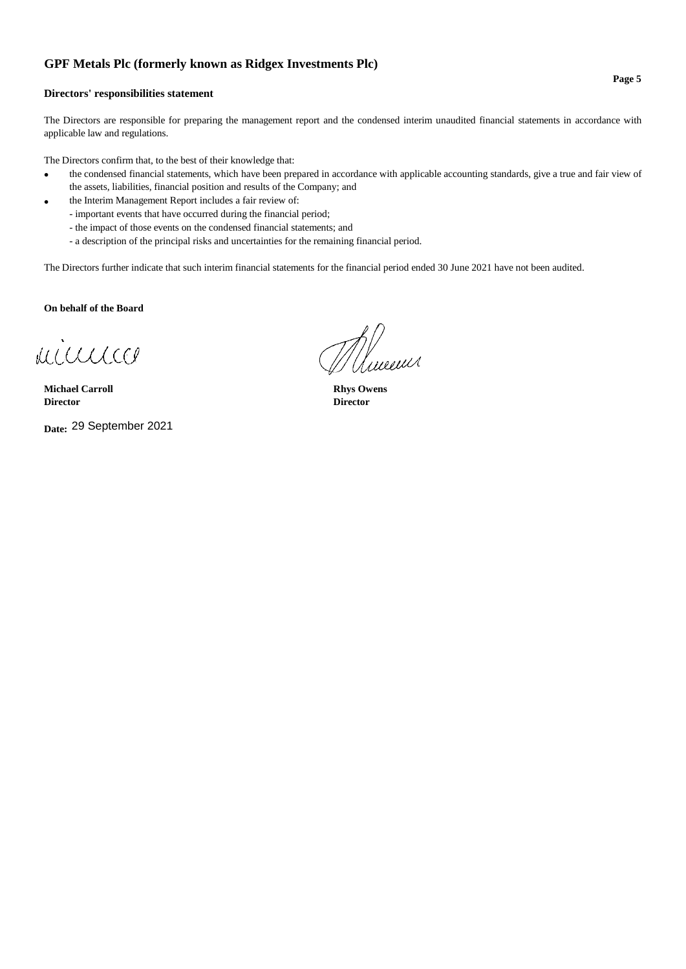## **Directors' responsibilities statement**

The Directors are responsible for preparing the management report and the condensed interim unaudited financial statements in accordance with applicable law and regulations.

The Directors confirm that, to the best of their knowledge that:

- the condensed financial statements, which have been prepared in accordance with applicable accounting standards, give a true and fair view of the assets, liabilities, financial position and results of the Company; and
- the Interim Management Report includes a fair review of:
	- important events that have occurred during the financial period;
	- the impact of those events on the condensed financial statements; and
	- a description of the principal risks and uncertainties for the remaining financial period.

The Directors further indicate that such interim financial statements for the financial period ended 30 June 2021 have not been audited.

**On behalf of the Board**

minnico

**Michael Carroll Rhys Owens Director Director**

**Date:**  29 September 2021

//<br>//www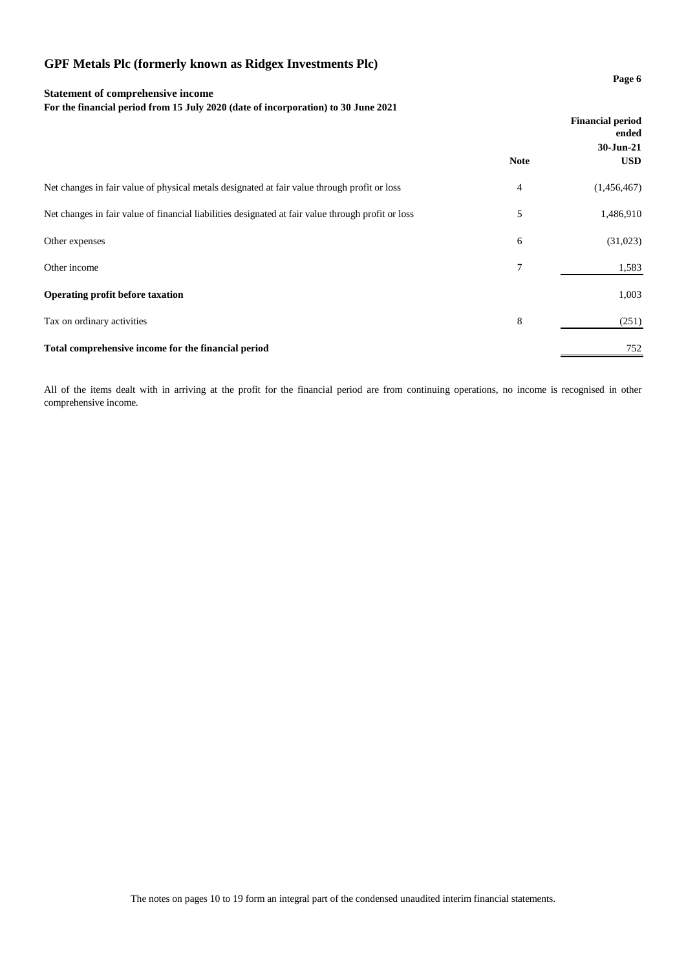## **Statement of comprehensive income**

**For the financial period from 15 July 2020 (date of incorporation) to 30 June 2021**

|                                                                                                    |             | <b>Financial period</b><br>ended<br>30-Jun-21 |
|----------------------------------------------------------------------------------------------------|-------------|-----------------------------------------------|
|                                                                                                    | <b>Note</b> | <b>USD</b>                                    |
| Net changes in fair value of physical metals designated at fair value through profit or loss       | 4           | (1,456,467)                                   |
| Net changes in fair value of financial liabilities designated at fair value through profit or loss | 5           | 1,486,910                                     |
| Other expenses                                                                                     | 6           | (31,023)                                      |
| Other income                                                                                       | 7           | 1,583                                         |
| Operating profit before taxation                                                                   |             | 1,003                                         |
| Tax on ordinary activities                                                                         | 8           | (251)                                         |
| Total comprehensive income for the financial period                                                |             | 752                                           |

All of the items dealt with in arriving at the profit for the financial period are from continuing operations, no income is recognised in other comprehensive income.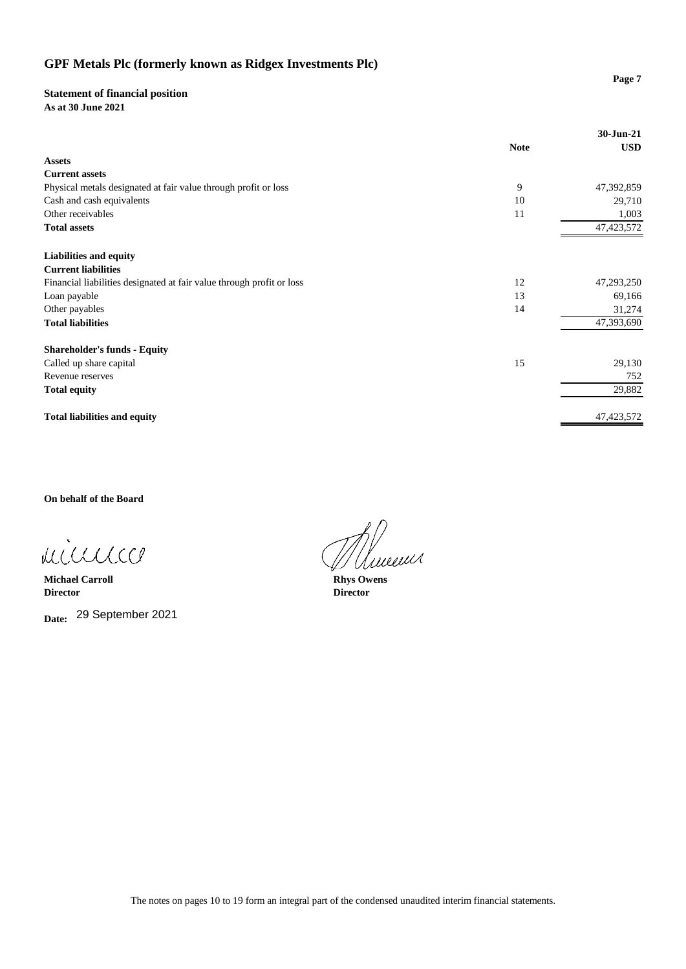## **Statement of financial position**

**As at 30 June 2021**

|                                                                       | <b>Note</b> | 30-Jun-21<br><b>USD</b> |
|-----------------------------------------------------------------------|-------------|-------------------------|
| <b>Assets</b>                                                         |             |                         |
| <b>Current assets</b>                                                 |             |                         |
| Physical metals designated at fair value through profit or loss       | 9           | 47,392,859              |
| Cash and cash equivalents                                             | 10          | 29,710                  |
| Other receivables                                                     | 11          | 1,003                   |
| <b>Total assets</b>                                                   |             | 47, 423, 572            |
| <b>Liabilities and equity</b>                                         |             |                         |
| <b>Current liabilities</b>                                            |             |                         |
| Financial liabilities designated at fair value through profit or loss | 12          | 47,293,250              |
| Loan payable                                                          | 13          | 69,166                  |
| Other payables                                                        | 14          | 31,274                  |
| <b>Total liabilities</b>                                              |             | 47,393,690              |
| <b>Shareholder's funds - Equity</b>                                   |             |                         |
| Called up share capital                                               | 15          | 29,130                  |
| Revenue reserves                                                      |             | 752                     |
| <b>Total equity</b>                                                   |             | 29,882                  |
| <b>Total liabilities and equity</b>                                   |             | 47, 423, 572            |

**On behalf of the Board**

minnico

**Michael Carroll Rhys Owens**<br> **Director Director Director Director**

**Date:** 29 September 2021

Wineen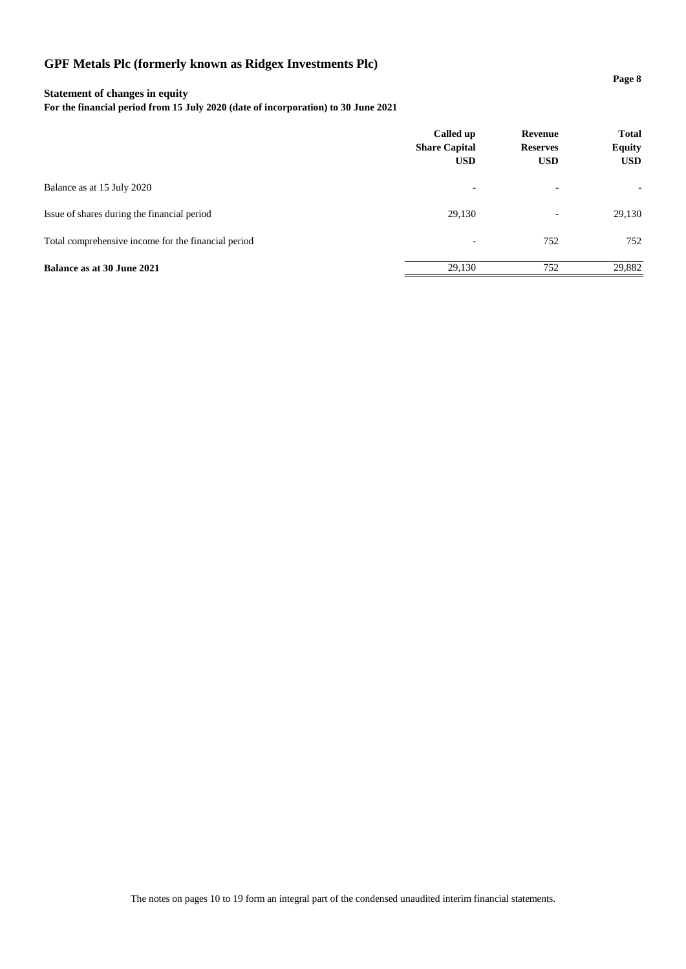## **Statement of changes in equity**

**For the financial period from 15 July 2020 (date of incorporation) to 30 June 2021**

|                                                     | Called up<br><b>Share Capital</b><br><b>USD</b> | Revenue<br><b>Reserves</b><br><b>USD</b> | <b>Total</b><br><b>Equity</b><br><b>USD</b> |
|-----------------------------------------------------|-------------------------------------------------|------------------------------------------|---------------------------------------------|
| Balance as at 15 July 2020                          | $\overline{\phantom{0}}$                        | $\overline{\phantom{0}}$                 | ٠                                           |
| Issue of shares during the financial period         | 29,130                                          | $\overline{\phantom{a}}$                 | 29,130                                      |
| Total comprehensive income for the financial period | $\overline{\phantom{0}}$                        | 752                                      | 752                                         |
| <b>Balance as at 30 June 2021</b>                   | 29,130                                          | 752                                      | 29,882                                      |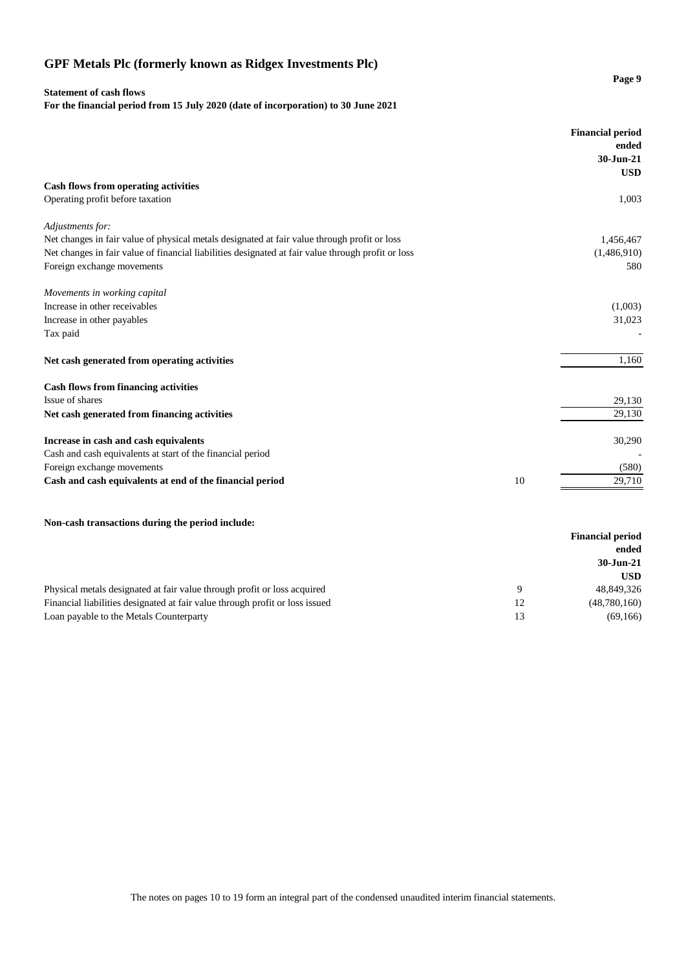## **Statement of cash flows**

**For the financial period from 15 July 2020 (date of incorporation) to 30 June 2021**

|                                                                                                    |    | <b>Financial period</b><br>ended<br>30-Jun-21 |
|----------------------------------------------------------------------------------------------------|----|-----------------------------------------------|
|                                                                                                    |    | <b>USD</b>                                    |
| <b>Cash flows from operating activities</b>                                                        |    |                                               |
| Operating profit before taxation                                                                   |    | 1,003                                         |
| Adjustments for:                                                                                   |    |                                               |
| Net changes in fair value of physical metals designated at fair value through profit or loss       |    | 1,456,467                                     |
| Net changes in fair value of financial liabilities designated at fair value through profit or loss |    | (1,486,910)                                   |
| Foreign exchange movements                                                                         |    | 580                                           |
| Movements in working capital                                                                       |    |                                               |
| Increase in other receivables                                                                      |    | (1,003)                                       |
| Increase in other payables                                                                         |    | 31,023                                        |
| Tax paid                                                                                           |    |                                               |
| Net cash generated from operating activities                                                       |    | 1,160                                         |
| <b>Cash flows from financing activities</b>                                                        |    |                                               |
| Issue of shares                                                                                    |    | 29,130                                        |
| Net cash generated from financing activities                                                       |    | 29,130                                        |
| Increase in cash and cash equivalents                                                              |    | 30,290                                        |
| Cash and cash equivalents at start of the financial period                                         |    |                                               |
| Foreign exchange movements                                                                         |    | (580)                                         |
| Cash and cash equivalents at end of the financial period                                           | 10 | 29,710                                        |

**Page 9**

## **Non-cash transactions during the period include:**

|                                                                              |   | <b>Financial period</b> |
|------------------------------------------------------------------------------|---|-------------------------|
|                                                                              |   | ended                   |
|                                                                              |   | 30-Jun-21               |
|                                                                              |   | <b>USD</b>              |
| Physical metals designated at fair value through profit or loss acquired     | Q | 48,849,326              |
| Financial liabilities designated at fair value through profit or loss issued |   | (48,780,160)            |
| Loan payable to the Metals Counterparty                                      |   | (69, 166)               |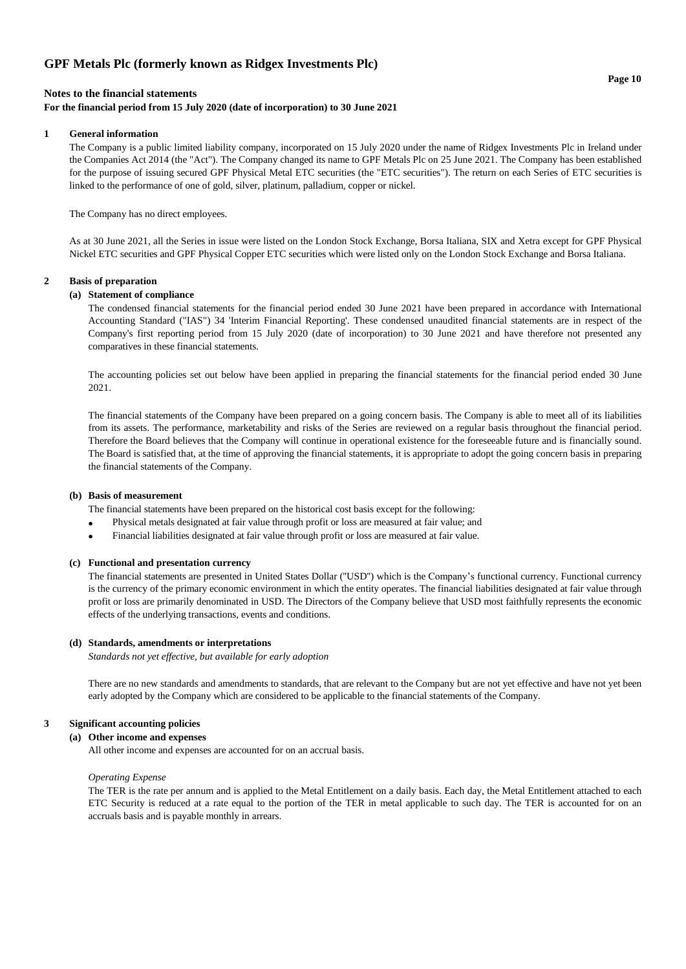#### **Page 10**

## **Notes to the financial statements**

## **For the financial period from 15 July 2020 (date of incorporation) to 30 June 2021**

#### **1 General information**

The Company is a public limited liability company, incorporated on 15 July 2020 under the name of Ridgex Investments Plc in Ireland under the Companies Act 2014 (the "Act"). The Company changed its name to GPF Metals Plc on 25 June 2021. The Company has been established for the purpose of issuing secured GPF Physical Metal ETC securities (the "ETC securities"). The return on each Series of ETC securities is linked to the performance of one of gold, silver, platinum, palladium, copper or nickel.

The Company has no direct employees.

As at 30 June 2021, all the Series in issue were listed on the London Stock Exchange, Borsa Italiana, SIX and Xetra except for GPF Physical Nickel ETC securities and GPF Physical Copper ETC securities which were listed only on the London Stock Exchange and Borsa Italiana.

## **2 Basis of preparation**

## **(a) Statement of compliance**

The condensed financial statements for the financial period ended 30 June 2021 have been prepared in accordance with International Accounting Standard ("IAS") 34 'Interim Financial Reporting'. These condensed unaudited financial statements are in respect of the Company's first reporting period from 15 July 2020 (date of incorporation) to 30 June 2021 and have therefore not presented any comparatives in these financial statements.

The accounting policies set out below have been applied in preparing the financial statements for the financial period ended 30 June 2021.

The financial statements of the Company have been prepared on a going concern basis. The Company is able to meet all of its liabilities from its assets. The performance, marketability and risks of the Series are reviewed on a regular basis throughout the financial period. Therefore the Board believes that the Company will continue in operational existence for the foreseeable future and is financially sound. The Board is satisfied that, at the time of approving the financial statements, it is appropriate to adopt the going concern basis in preparing the financial statements of the Company.

#### **(b) Basis of measurement**

The financial statements have been prepared on the historical cost basis except for the following:

- Physical metals designated at fair value through profit or loss are measured at fair value; and
- • Financial liabilities designated at fair value through profit or loss are measured at fair value.

#### **(c) Functional and presentation currency**

The financial statements are presented in United States Dollar (''USD'') which is the Company's functional currency. Functional currency is the currency of the primary economic environment in which the entity operates. The financial liabilities designated at fair value through profit or loss are primarily denominated in USD. The Directors of the Company believe that USD most faithfully represents the economic effects of the underlying transactions, events and conditions.

#### **(d) Standards, amendments or interpretations**

*Standards not yet effective, but available for early adoption*

There are no new standards and amendments to standards, that are relevant to the Company but are not yet effective and have not yet been early adopted by the Company which are considered to be applicable to the financial statements of the Company.

## **3 Significant accounting policies**

## **(a) Other income and expenses**

All other income and expenses are accounted for on an accrual basis.

#### *Operating Expense*

The TER is the rate per annum and is applied to the Metal Entitlement on a daily basis. Each day, the Metal Entitlement attached to each ETC Security is reduced at a rate equal to the portion of the TER in metal applicable to such day. The TER is accounted for on an accruals basis and is payable monthly in arrears.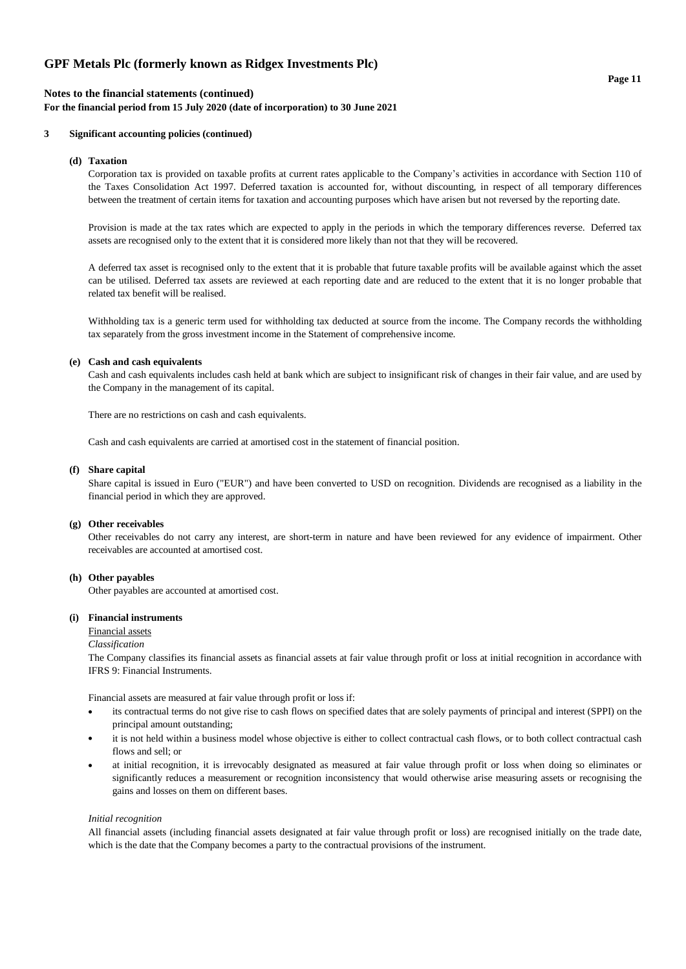## **Notes to the financial statements (continued)**

**For the financial period from 15 July 2020 (date of incorporation) to 30 June 2021**

## **3 Significant accounting policies (continued)**

#### **(d) Taxation**

Corporation tax is provided on taxable profits at current rates applicable to the Company's activities in accordance with Section 110 of the Taxes Consolidation Act 1997. Deferred taxation is accounted for, without discounting, in respect of all temporary differences between the treatment of certain items for taxation and accounting purposes which have arisen but not reversed by the reporting date.

Provision is made at the tax rates which are expected to apply in the periods in which the temporary differences reverse. Deferred tax assets are recognised only to the extent that it is considered more likely than not that they will be recovered.

A deferred tax asset is recognised only to the extent that it is probable that future taxable profits will be available against which the asset can be utilised. Deferred tax assets are reviewed at each reporting date and are reduced to the extent that it is no longer probable that related tax benefit will be realised.

Withholding tax is a generic term used for withholding tax deducted at source from the income. The Company records the withholding tax separately from the gross investment income in the Statement of comprehensive income.

#### **(e) Cash and cash equivalents**

Cash and cash equivalents includes cash held at bank which are subject to insignificant risk of changes in their fair value, and are used by the Company in the management of its capital.

There are no restrictions on cash and cash equivalents.

Cash and cash equivalents are carried at amortised cost in the statement of financial position.

#### **(f) Share capital**

Share capital is issued in Euro ("EUR") and have been converted to USD on recognition. Dividends are recognised as a liability in the financial period in which they are approved.

## **(g) Other receivables**

Other receivables do not carry any interest, are short-term in nature and have been reviewed for any evidence of impairment. Other receivables are accounted at amortised cost.

## **(h) Other payables**

Other payables are accounted at amortised cost.

## **(i) Financial instruments**

Financial assets

#### *Classification*

The Company classifies its financial assets as financial assets at fair value through profit or loss at initial recognition in accordance with IFRS 9: Financial Instruments.

Financial assets are measured at fair value through profit or loss if:

- its contractual terms do not give rise to cash flows on specified dates that are solely payments of principal and interest (SPPI) on the principal amount outstanding;
- it is not held within a business model whose objective is either to collect contractual cash flows, or to both collect contractual cash flows and sell; or
- at initial recognition, it is irrevocably designated as measured at fair value through profit or loss when doing so eliminates or significantly reduces a measurement or recognition inconsistency that would otherwise arise measuring assets or recognising the gains and losses on them on different bases.

#### *Initial recognition*

All financial assets (including financial assets designated at fair value through profit or loss) are recognised initially on the trade date, which is the date that the Company becomes a party to the contractual provisions of the instrument.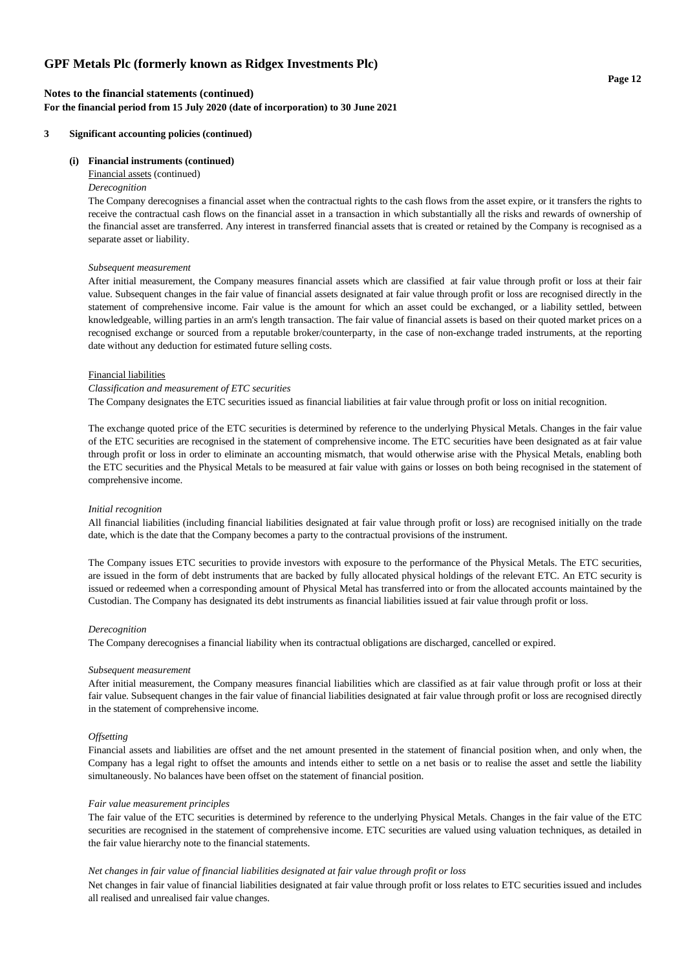## **Notes to the financial statements (continued) For the financial period from 15 July 2020 (date of incorporation) to 30 June 2021**

## **3 Significant accounting policies (continued)**

## **(i) Financial instruments (continued)**

## Financial assets (continued)

## *Derecognition*

The Company derecognises a financial asset when the contractual rights to the cash flows from the asset expire, or it transfers the rights to receive the contractual cash flows on the financial asset in a transaction in which substantially all the risks and rewards of ownership of the financial asset are transferred. Any interest in transferred financial assets that is created or retained by the Company is recognised as a separate asset or liability.

#### *Subsequent measurement*

After initial measurement, the Company measures financial assets which are classified at fair value through profit or loss at their fair value. Subsequent changes in the fair value of financial assets designated at fair value through profit or loss are recognised directly in the statement of comprehensive income. Fair value is the amount for which an asset could be exchanged, or a liability settled, between knowledgeable, willing parties in an arm's length transaction. The fair value of financial assets is based on their quoted market prices on a recognised exchange or sourced from a reputable broker/counterparty, in the case of non-exchange traded instruments, at the reporting date without any deduction for estimated future selling costs.

#### Financial liabilities

#### *Classification and measurement of ETC securities*

The Company designates the ETC securities issued as financial liabilities at fair value through profit or loss on initial recognition.

The exchange quoted price of the ETC securities is determined by reference to the underlying Physical Metals. Changes in the fair value of the ETC securities are recognised in the statement of comprehensive income. The ETC securities have been designated as at fair value through profit or loss in order to eliminate an accounting mismatch, that would otherwise arise with the Physical Metals, enabling both the ETC securities and the Physical Metals to be measured at fair value with gains or losses on both being recognised in the statement of comprehensive income.

#### *Initial recognition*

All financial liabilities (including financial liabilities designated at fair value through profit or loss) are recognised initially on the trade date, which is the date that the Company becomes a party to the contractual provisions of the instrument.

The Company issues ETC securities to provide investors with exposure to the performance of the Physical Metals. The ETC securities, are issued in the form of debt instruments that are backed by fully allocated physical holdings of the relevant ETC. An ETC security is issued or redeemed when a corresponding amount of Physical Metal has transferred into or from the allocated accounts maintained by the Custodian. The Company has designated its debt instruments as financial liabilities issued at fair value through profit or loss.

#### *Derecognition*

The Company derecognises a financial liability when its contractual obligations are discharged, cancelled or expired.

#### *Subsequent measurement*

After initial measurement, the Company measures financial liabilities which are classified as at fair value through profit or loss at their fair value. Subsequent changes in the fair value of financial liabilities designated at fair value through profit or loss are recognised directly in the statement of comprehensive income.

## *Offsetting*

Financial assets and liabilities are offset and the net amount presented in the statement of financial position when, and only when, the Company has a legal right to offset the amounts and intends either to settle on a net basis or to realise the asset and settle the liability simultaneously. No balances have been offset on the statement of financial position.

#### *Fair value measurement principles*

The fair value of the ETC securities is determined by reference to the underlying Physical Metals. Changes in the fair value of the ETC securities are recognised in the statement of comprehensive income. ETC securities are valued using valuation techniques, as detailed in the fair value hierarchy note to the financial statements.

#### *Net changes in fair value of financial liabilities designated at fair value through profit or loss*

Net changes in fair value of financial liabilities designated at fair value through profit or loss relates to ETC securities issued and includes all realised and unrealised fair value changes.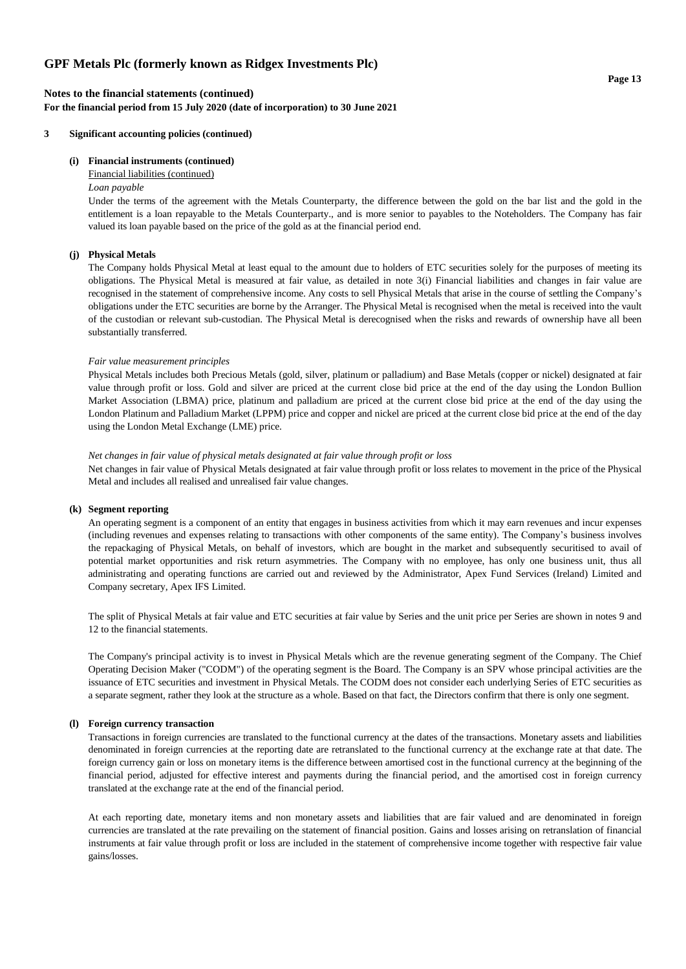## **Notes to the financial statements (continued) For the financial period from 15 July 2020 (date of incorporation) to 30 June 2021**

## **3 Significant accounting policies (continued)**

## **(i) Financial instruments (continued)**

## Financial liabilities (continued)

## *Loan payable*

Under the terms of the agreement with the Metals Counterparty, the difference between the gold on the bar list and the gold in the entitlement is a loan repayable to the Metals Counterparty., and is more senior to payables to the Noteholders. The Company has fair valued its loan payable based on the price of the gold as at the financial period end.

## **(j) Physical Metals**

The Company holds Physical Metal at least equal to the amount due to holders of ETC securities solely for the purposes of meeting its obligations. The Physical Metal is measured at fair value, as detailed in note 3(i) Financial liabilities and changes in fair value are recognised in the statement of comprehensive income. Any costs to sell Physical Metals that arise in the course of settling the Company's obligations under the ETC securities are borne by the Arranger. The Physical Metal is recognised when the metal is received into the vault of the custodian or relevant sub-custodian. The Physical Metal is derecognised when the risks and rewards of ownership have all been substantially transferred.

#### *Fair value measurement principles*

Physical Metals includes both Precious Metals (gold, silver, platinum or palladium) and Base Metals (copper or nickel) designated at fair value through profit or loss. Gold and silver are priced at the current close bid price at the end of the day using the London Bullion Market Association (LBMA) price, platinum and palladium are priced at the current close bid price at the end of the day using the London Platinum and Palladium Market (LPPM) price and copper and nickel are priced at the current close bid price at the end of the day using the London Metal Exchange (LME) price.

#### *Net changes in fair value of physical metals designated at fair value through profit or loss*

Net changes in fair value of Physical Metals designated at fair value through profit or loss relates to movement in the price of the Physical Metal and includes all realised and unrealised fair value changes.

#### **(k) Segment reporting**

An operating segment is a component of an entity that engages in business activities from which it may earn revenues and incur expenses (including revenues and expenses relating to transactions with other components of the same entity). The Company's business involves the repackaging of Physical Metals, on behalf of investors, which are bought in the market and subsequently securitised to avail of potential market opportunities and risk return asymmetries. The Company with no employee, has only one business unit, thus all administrating and operating functions are carried out and reviewed by the Administrator, Apex Fund Services (Ireland) Limited and Company secretary, Apex IFS Limited.

The split of Physical Metals at fair value and ETC securities at fair value by Series and the unit price per Series are shown in notes 9 and 12 to the financial statements.

The Company's principal activity is to invest in Physical Metals which are the revenue generating segment of the Company. The Chief Operating Decision Maker ("CODM") of the operating segment is the Board. The Company is an SPV whose principal activities are the issuance of ETC securities and investment in Physical Metals. The CODM does not consider each underlying Series of ETC securities as a separate segment, rather they look at the structure as a whole. Based on that fact, the Directors confirm that there is only one segment.

#### **(l) Foreign currency transaction**

Transactions in foreign currencies are translated to the functional currency at the dates of the transactions. Monetary assets and liabilities denominated in foreign currencies at the reporting date are retranslated to the functional currency at the exchange rate at that date. The foreign currency gain or loss on monetary items is the difference between amortised cost in the functional currency at the beginning of the financial period, adjusted for effective interest and payments during the financial period, and the amortised cost in foreign currency translated at the exchange rate at the end of the financial period.

At each reporting date, monetary items and non monetary assets and liabilities that are fair valued and are denominated in foreign currencies are translated at the rate prevailing on the statement of financial position. Gains and losses arising on retranslation of financial instruments at fair value through profit or loss are included in the statement of comprehensive income together with respective fair value gains/losses.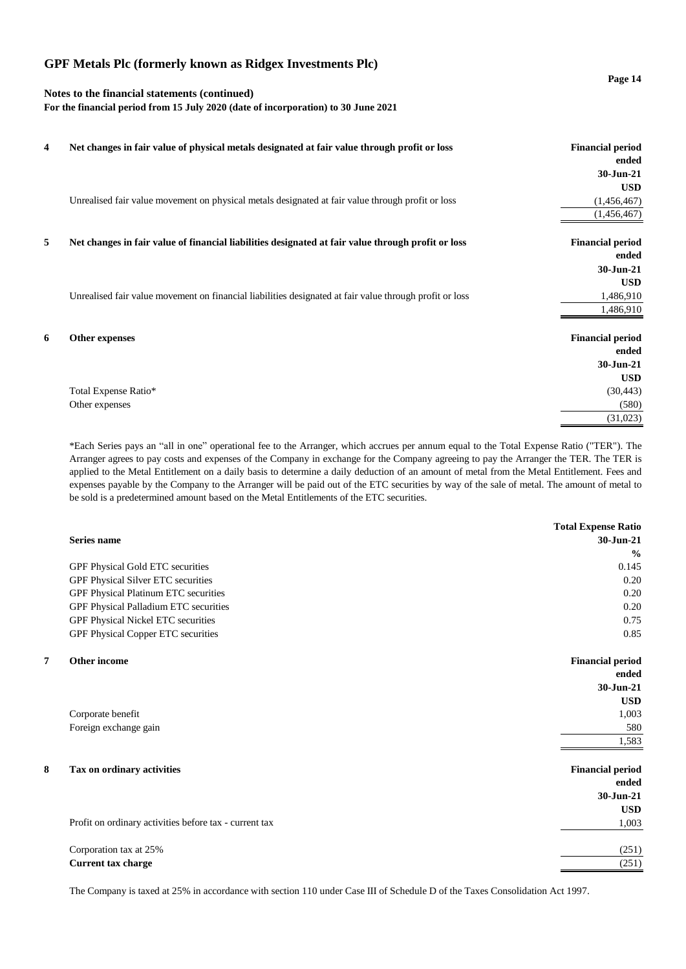## **Notes to the financial statements (continued)**

**For the financial period from 15 July 2020 (date of incorporation) to 30 June 2021**

| 4 | Net changes in fair value of physical metals designated at fair value through profit or loss            | <b>Financial period</b> |
|---|---------------------------------------------------------------------------------------------------------|-------------------------|
|   |                                                                                                         | ended                   |
|   |                                                                                                         | 30-Jun-21               |
|   |                                                                                                         | <b>USD</b>              |
|   | Unrealised fair value movement on physical metals designated at fair value through profit or loss       | (1,456,467)             |
|   |                                                                                                         | (1,456,467)             |
| 5 | Net changes in fair value of financial liabilities designated at fair value through profit or loss      | <b>Financial period</b> |
|   |                                                                                                         | ended                   |
|   |                                                                                                         | 30-Jun-21               |
|   |                                                                                                         | <b>USD</b>              |
|   | Unrealised fair value movement on financial liabilities designated at fair value through profit or loss | 1,486,910               |
|   |                                                                                                         | 1,486,910               |
| 6 | Other expenses                                                                                          | <b>Financial period</b> |
|   |                                                                                                         | ended                   |
|   |                                                                                                         | 30-Jun-21               |
|   |                                                                                                         | <b>USD</b>              |
|   | Total Expense Ratio*                                                                                    | (30, 443)               |
|   | Other expenses                                                                                          | (580)                   |
|   |                                                                                                         | (31,023)                |

\*Each Series pays an "all in one" operational fee to the Arranger, which accrues per annum equal to the Total Expense Ratio ("TER"). The Arranger agrees to pay costs and expenses of the Company in exchange for the Company agreeing to pay the Arranger the TER. The TER is applied to the Metal Entitlement on a daily basis to determine a daily deduction of an amount of metal from the Metal Entitlement. Fees and expenses payable by the Company to the Arranger will be paid out of the ETC securities by way of the sale of metal. The amount of metal to be sold is a predetermined amount based on the Metal Entitlements of the ETC securities.

| <b>Total Expense Ratio</b> |
|----------------------------|
| 30-Jun-21                  |
| $\frac{0}{0}$              |
| 0.145                      |
| 0.20                       |
| 0.20                       |
| 0.20                       |
| 0.75                       |
| 0.85                       |
| <b>Financial period</b>    |
| ended                      |
| 30-Jun-21                  |
| <b>USD</b>                 |
| 1,003                      |
| 580                        |
| 1,583                      |
| <b>Financial period</b>    |
| ended                      |
| 30-Jun-21                  |
| <b>USD</b>                 |
| 1,003                      |
| (251)                      |
| (251)                      |
|                            |

The Company is taxed at 25% in accordance with section 110 under Case III of Schedule D of the Taxes Consolidation Act 1997.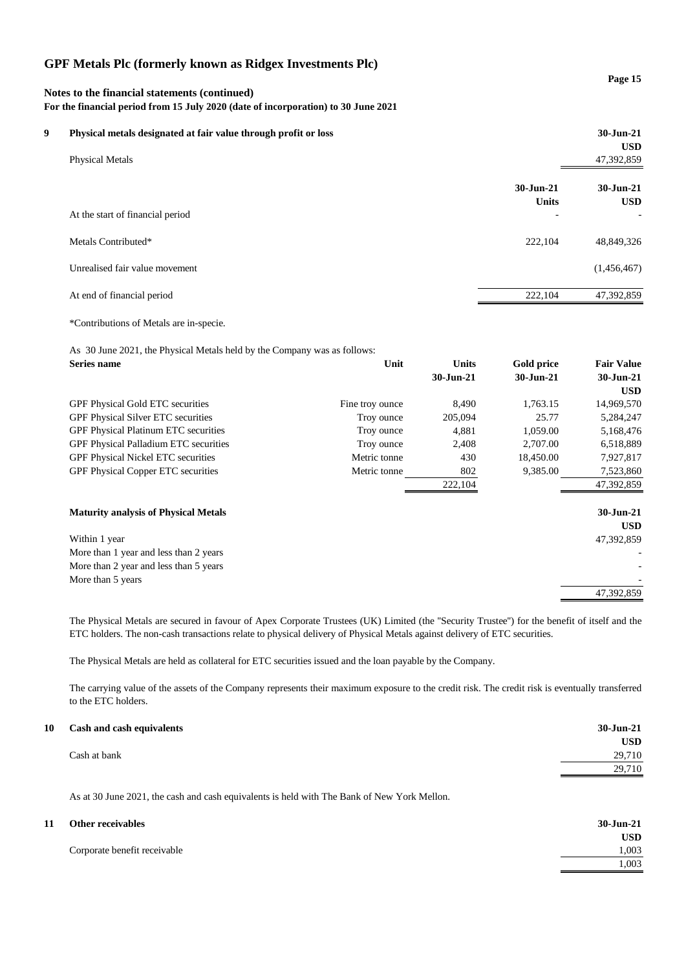## **Notes to the financial statements (continued) For the financial period from 15 July 2020 (date of incorporation) to 30 June 2021**

| 9 | Physical metals designated at fair value through profit or loss<br><b>Physical Metals</b> |                           | 30-Jun-21<br><b>USD</b><br>47,392,859 |  |
|---|-------------------------------------------------------------------------------------------|---------------------------|---------------------------------------|--|
|   |                                                                                           | 30-Jun-21<br><b>Units</b> | 30-Jun-21<br><b>USD</b>               |  |
|   | At the start of financial period                                                          | $\overline{\phantom{0}}$  | $\overline{\phantom{a}}$              |  |
|   | Metals Contributed*                                                                       | 222,104                   | 48,849,326                            |  |
|   | Unrealised fair value movement                                                            |                           | (1,456,467)                           |  |
|   | At end of financial period                                                                | 222,104                   | 47,392,859                            |  |
|   |                                                                                           |                           |                                       |  |

\*Contributions of Metals are in-specie.

As 30 June 2021, the Physical Metals held by the Company was as follows:

| Series name                                  | Unit            | <b>Units</b> | Gold price | <b>Fair Value</b> |
|----------------------------------------------|-----------------|--------------|------------|-------------------|
|                                              |                 | 30-Jun-21    | 30-Jun-21  | 30-Jun-21         |
|                                              |                 |              |            | <b>USD</b>        |
| <b>GPF Physical Gold ETC securities</b>      | Fine troy ounce | 8.490        | 1,763.15   | 14,969,570        |
| <b>GPF Physical Silver ETC securities</b>    | Troy ounce      | 205,094      | 25.77      | 5,284,247         |
| <b>GPF Physical Platinum ETC securities</b>  | Troy ounce      | 4,881        | 1,059.00   | 5,168,476         |
| <b>GPF Physical Palladium ETC securities</b> | Troy ounce      | 2,408        | 2,707.00   | 6,518,889         |
| <b>GPF Physical Nickel ETC securities</b>    | Metric tonne    | 430          | 18,450.00  | 7,927,817         |
| <b>GPF Physical Copper ETC securities</b>    | Metric tonne    | 802          | 9,385.00   | 7,523,860         |
|                                              |                 | 222,104      |            | 47,392,859        |
|                                              |                 |              |            |                   |
| <b>Maturity analysis of Physical Metals</b>  |                 |              |            | 30-Jun-21         |
|                                              |                 |              |            | <b>USD</b>        |
| Within 1 year                                |                 |              |            | 47,392,859        |
| More than 1 year and less than 2 years       |                 |              |            |                   |
| More than 2 year and less than 5 years       |                 |              |            |                   |
| More than 5 years                            |                 |              |            |                   |
|                                              |                 |              |            | 47,392,859        |

The Physical Metals are secured in favour of Apex Corporate Trustees (UK) Limited (the ''Security Trustee'') for the benefit of itself and the ETC holders. The non-cash transactions relate to physical delivery of Physical Metals against delivery of ETC securities.

The Physical Metals are held as collateral for ETC securities issued and the loan payable by the Company.

The carrying value of the assets of the Company represents their maximum exposure to the credit risk. The credit risk is eventually transferred to the ETC holders.

| $30 - Jun - 21$ |
|-----------------|
| <b>USD</b>      |
| 29,710          |
| 29,710          |
|                 |

As at 30 June 2021, the cash and cash equivalents is held with The Bank of New York Mellon.

| 11 | Other receivables            | $30 - Jun-21$ |
|----|------------------------------|---------------|
|    |                              | <b>USD</b>    |
|    | Corporate benefit receivable | 1,003         |
|    |                              | 1,003         |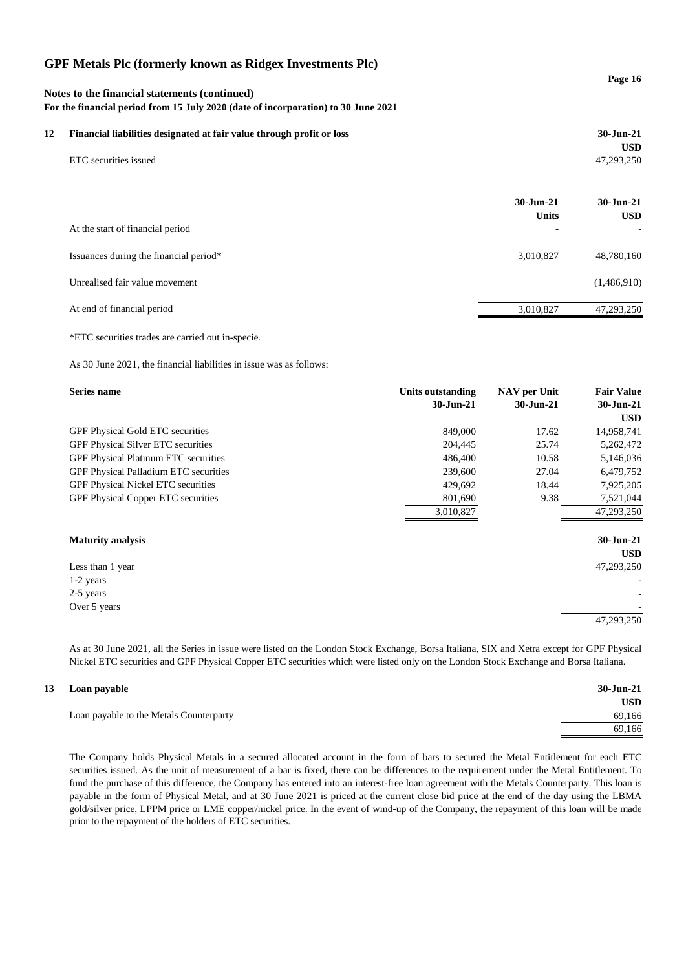| Notes to the financial statements (continued)<br>For the financial period from 15 July 2020 (date of incorporation) to 30 June 2021 |                                                                       |                           | Page 16                  |
|-------------------------------------------------------------------------------------------------------------------------------------|-----------------------------------------------------------------------|---------------------------|--------------------------|
| 12                                                                                                                                  | Financial liabilities designated at fair value through profit or loss |                           | 30-Jun-21                |
|                                                                                                                                     | ETC securities issued                                                 |                           | <b>USD</b><br>47,293,250 |
|                                                                                                                                     |                                                                       | 30-Jun-21<br><b>Units</b> | 30-Jun-21<br><b>USD</b>  |
|                                                                                                                                     | At the start of financial period                                      |                           |                          |
|                                                                                                                                     | Issuances during the financial period*                                | 3,010,827                 | 48,780,160               |
|                                                                                                                                     | Unrealised fair value movement                                        |                           | (1,486,910)              |
|                                                                                                                                     | At end of financial period                                            | 3,010,827                 | 47,293,250               |

\*ETC securities trades are carried out in-specie.

As 30 June 2021, the financial liabilities in issue was as follows:

| Series name                                 | <b>Units outstanding</b> | <b>NAV</b> per Unit | <b>Fair Value</b> |
|---------------------------------------------|--------------------------|---------------------|-------------------|
|                                             | 30-Jun-21                | 30-Jun-21           | 30-Jun-21         |
|                                             |                          |                     | <b>USD</b>        |
| <b>GPF Physical Gold ETC securities</b>     | 849,000                  | 17.62               | 14,958,741        |
| GPF Physical Silver ETC securities          | 204,445                  | 25.74               | 5,262,472         |
| <b>GPF Physical Platinum ETC securities</b> | 486,400                  | 10.58               | 5,146,036         |
| GPF Physical Palladium ETC securities       | 239,600                  | 27.04               | 6,479,752         |
| <b>GPF Physical Nickel ETC securities</b>   | 429,692                  | 18.44               | 7,925,205         |
| <b>GPF Physical Copper ETC securities</b>   | 801,690                  | 9.38                | 7,521,044         |
|                                             | 3,010,827                |                     | 47,293,250        |
|                                             |                          |                     |                   |
| <b>Maturity analysis</b>                    |                          |                     | 30-Jun-21         |
|                                             |                          |                     | <b>USD</b>        |
| Less than 1 year                            |                          |                     | 47,293,250        |
| $1-2$ years                                 |                          |                     |                   |
| 2-5 years                                   |                          |                     |                   |
| Over 5 years                                |                          |                     |                   |
|                                             |                          |                     | 47,293,250        |

As at 30 June 2021, all the Series in issue were listed on the London Stock Exchange, Borsa Italiana, SIX and Xetra except for GPF Physical Nickel ETC securities and GPF Physical Copper ETC securities which were listed only on the London Stock Exchange and Borsa Italiana.

**USD**

69,166

## **13 Loan payable 30-Jun-21**

Loan payable to the Metals Counterparty 69,166

The Company holds Physical Metals in a secured allocated account in the form of bars to secured the Metal Entitlement for each ETC securities issued. As the unit of measurement of a bar is fixed, there can be differences to the requirement under the Metal Entitlement. To fund the purchase of this difference, the Company has entered into an interest-free loan agreement with the Metals Counterparty. This loan is payable in the form of Physical Metal, and at 30 June 2021 is priced at the current close bid price at the end of the day using the LBMA gold/silver price, LPPM price or LME copper/nickel price. In the event of wind-up of the Company, the repayment of this loan will be made prior to the repayment of the holders of ETC securities.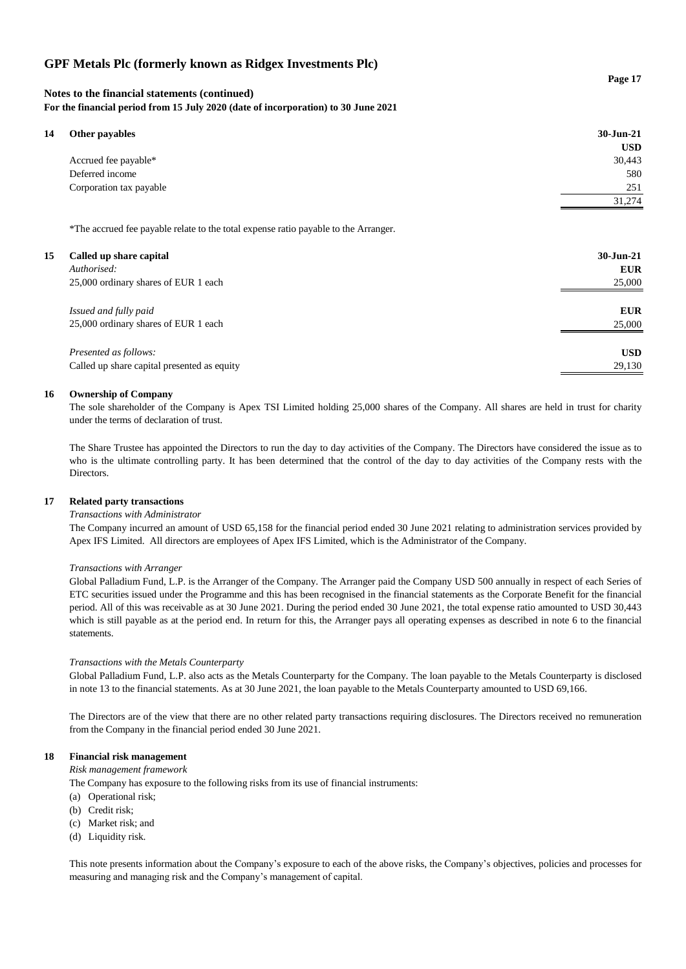## **Notes to the financial statements (continued)**

**For the financial period from 15 July 2020 (date of incorporation) to 30 June 2021**

| 14 |  | <b>Other payables</b> |
|----|--|-----------------------|
|----|--|-----------------------|

| 14 | Other payables          | 30-Jun-21  |
|----|-------------------------|------------|
|    |                         | <b>USD</b> |
|    | Accrued fee payable*    | 30,443     |
|    | Deferred income         | 580        |
|    | Corporation tax payable | 251        |
|    |                         | 31,274     |
|    |                         |            |

\*The accrued fee payable relate to the total expense ratio payable to the Arranger.

| 15 | Called up share capital<br>Authorised:<br>25,000 ordinary shares of EUR 1 each | $30 - Jun - 21$<br><b>EUR</b><br>25,000 |
|----|--------------------------------------------------------------------------------|-----------------------------------------|
|    |                                                                                |                                         |
|    | Issued and fully paid                                                          | <b>EUR</b>                              |
|    | 25,000 ordinary shares of EUR 1 each                                           | 25,000                                  |
|    | Presented as follows:                                                          | <b>USD</b>                              |
|    | Called up share capital presented as equity                                    | 29,130                                  |

## **16 Ownership of Company**

The sole shareholder of the Company is Apex TSI Limited holding 25,000 shares of the Company. All shares are held in trust for charity under the terms of declaration of trust.

The Share Trustee has appointed the Directors to run the day to day activities of the Company. The Directors have considered the issue as to who is the ultimate controlling party. It has been determined that the control of the day to day activities of the Company rests with the Directors.

## **17 Related party transactions**

#### *Transactions with Administrator*

The Company incurred an amount of USD 65,158 for the financial period ended 30 June 2021 relating to administration services provided by Apex IFS Limited. All directors are employees of Apex IFS Limited, which is the Administrator of the Company.

#### *Transactions with Arranger*

Global Palladium Fund, L.P. is the Arranger of the Company. The Arranger paid the Company USD 500 annually in respect of each Series of ETC securities issued under the Programme and this has been recognised in the financial statements as the Corporate Benefit for the financial period. All of this was receivable as at 30 June 2021. During the period ended 30 June 2021, the total expense ratio amounted to USD 30,443 which is still payable as at the period end. In return for this, the Arranger pays all operating expenses as described in note 6 to the financial statements.

## *Transactions with the Metals Counterparty*

Global Palladium Fund, L.P. also acts as the Metals Counterparty for the Company. The loan payable to the Metals Counterparty is disclosed in note 13 to the financial statements. As at 30 June 2021, the loan payable to the Metals Counterparty amounted to USD 69,166.

The Directors are of the view that there are no other related party transactions requiring disclosures. The Directors received no remuneration from the Company in the financial period ended 30 June 2021.

## **18 Financial risk management**

*Risk management framework*

The Company has exposure to the following risks from its use of financial instruments:

- (a) Operational risk;
- (b) Credit risk;
- (c) Market risk; and
- (d) Liquidity risk.

This note presents information about the Company's exposure to each of the above risks, the Company's objectives, policies and processes for measuring and managing risk and the Company's management of capital.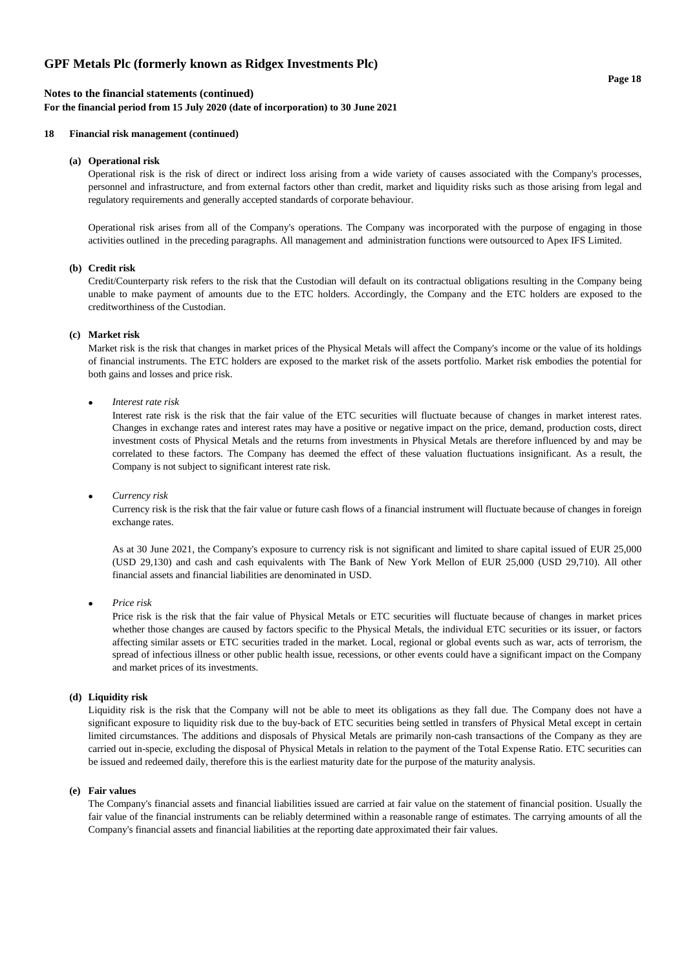## **Notes to the financial statements (continued)**

**For the financial period from 15 July 2020 (date of incorporation) to 30 June 2021**

## **18 Financial risk management (continued)**

#### **(a) Operational risk**

Operational risk is the risk of direct or indirect loss arising from a wide variety of causes associated with the Company's processes, personnel and infrastructure, and from external factors other than credit, market and liquidity risks such as those arising from legal and regulatory requirements and generally accepted standards of corporate behaviour.

Operational risk arises from all of the Company's operations. The Company was incorporated with the purpose of engaging in those activities outlined in the preceding paragraphs. All management and administration functions were outsourced to Apex IFS Limited.

#### **(b) Credit risk**

Credit/Counterparty risk refers to the risk that the Custodian will default on its contractual obligations resulting in the Company being unable to make payment of amounts due to the ETC holders. Accordingly, the Company and the ETC holders are exposed to the creditworthiness of the Custodian.

## **(c) Market risk**

Market risk is the risk that changes in market prices of the Physical Metals will affect the Company's income or the value of its holdings of financial instruments. The ETC holders are exposed to the market risk of the assets portfolio. Market risk embodies the potential for both gains and losses and price risk.

#### • *Interest rate risk*

Interest rate risk is the risk that the fair value of the ETC securities will fluctuate because of changes in market interest rates. Changes in exchange rates and interest rates may have a positive or negative impact on the price, demand, production costs, direct investment costs of Physical Metals and the returns from investments in Physical Metals are therefore influenced by and may be correlated to these factors. The Company has deemed the effect of these valuation fluctuations insignificant. As a result, the Company is not subject to significant interest rate risk.

#### • *Currency risk*

Currency risk is the risk that the fair value or future cash flows of a financial instrument will fluctuate because of changes in foreign exchange rates.

As at 30 June 2021, the Company's exposure to currency risk is not significant and limited to share capital issued of EUR 25,000 (USD 29,130) and cash and cash equivalents with The Bank of New York Mellon of EUR 25,000 (USD 29,710). All other financial assets and financial liabilities are denominated in USD.

• *Price risk*

Price risk is the risk that the fair value of Physical Metals or ETC securities will fluctuate because of changes in market prices whether those changes are caused by factors specific to the Physical Metals, the individual ETC securities or its issuer, or factors affecting similar assets or ETC securities traded in the market. Local, regional or global events such as war, acts of terrorism, the spread of infectious illness or other public health issue, recessions, or other events could have a significant impact on the Company and market prices of its investments.

## **(d) Liquidity risk**

Liquidity risk is the risk that the Company will not be able to meet its obligations as they fall due. The Company does not have a significant exposure to liquidity risk due to the buy-back of ETC securities being settled in transfers of Physical Metal except in certain limited circumstances. The additions and disposals of Physical Metals are primarily non-cash transactions of the Company as they are carried out in-specie, excluding the disposal of Physical Metals in relation to the payment of the Total Expense Ratio. ETC securities can be issued and redeemed daily, therefore this is the earliest maturity date for the purpose of the maturity analysis.

## **(e) Fair values**

The Company's financial assets and financial liabilities issued are carried at fair value on the statement of financial position. Usually the fair value of the financial instruments can be reliably determined within a reasonable range of estimates. The carrying amounts of all the Company's financial assets and financial liabilities at the reporting date approximated their fair values.